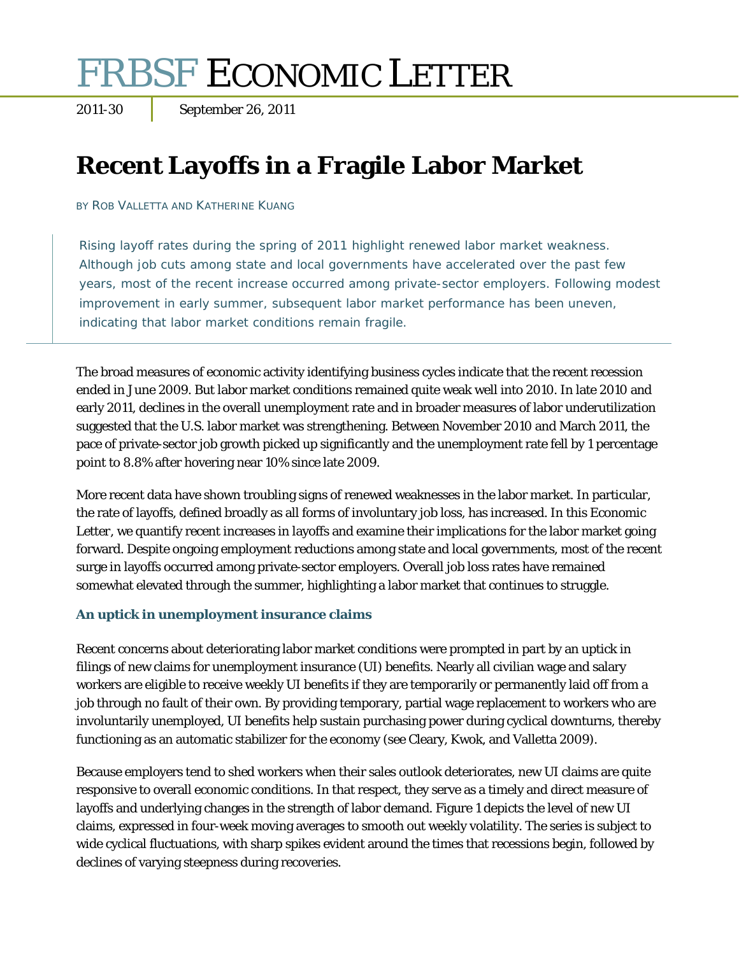# **FRBSF ECONOMIC LETTER**<br>2011-30 September 26, 2011

# **Recent Layoffs in a Fragile Labor Market**

BY ROB VALLETTA AND KATHERINE KUANG

Rising layoff rates during the spring of 2011 highlight renewed labor market weakness. Although job cuts among state and local governments have accelerated over the past few years, most of the recent increase occurred among private-sector employers. Following modest improvement in early summer, subsequent labor market performance has been uneven, indicating that labor market conditions remain fragile.

The broad measures of economic activity identifying business cycles indicate that the recent recession ended in June 2009. But labor market conditions remained quite weak well into 2010. In late 2010 and early 2011, declines in the overall unemployment rate and in broader measures of labor underutilization suggested that the U.S. labor market was strengthening. Between November 2010 and March 2011, the pace of private-sector job growth picked up significantly and the unemployment rate fell by 1 percentage point to 8.8% after hovering near 10% since late 2009.

More recent data have shown troubling signs of renewed weaknesses in the labor market. In particular, the rate of layoffs, defined broadly as all forms of involuntary job loss, has increased. In this *Economic Letter*, we quantify recent increases in layoffs and examine their implications for the labor market going forward. Despite ongoing employment reductions among state and local governments, most of the recent surge in layoffs occurred among private-sector employers. Overall job loss rates have remained somewhat elevated through the summer, highlighting a labor market that continues to struggle.

# **An uptick in unemployment insurance claims**

Recent concerns about deteriorating labor market conditions were prompted in part by an uptick in filings of new claims for unemployment insurance (UI) benefits. Nearly all civilian wage and salary workers are eligible to receive weekly UI benefits if they are temporarily or permanently laid off from a job through no fault of their own. By providing temporary, partial wage replacement to workers who are involuntarily unemployed, UI benefits help sustain purchasing power during cyclical downturns, thereby functioning as an automatic stabilizer for the economy (see Cleary, Kwok, and Valletta 2009).

Because employers tend to shed workers when their sales outlook deteriorates, new UI claims are quite responsive to overall economic conditions. In that respect, they serve as a timely and direct measure of layoffs and underlying changes in the strength of labor demand. Figure 1 depicts the level of new UI claims, expressed in four-week moving averages to smooth out weekly volatility. The series is subject to wide cyclical fluctuations, with sharp spikes evident around the times that recessions begin, followed by declines of varying steepness during recoveries.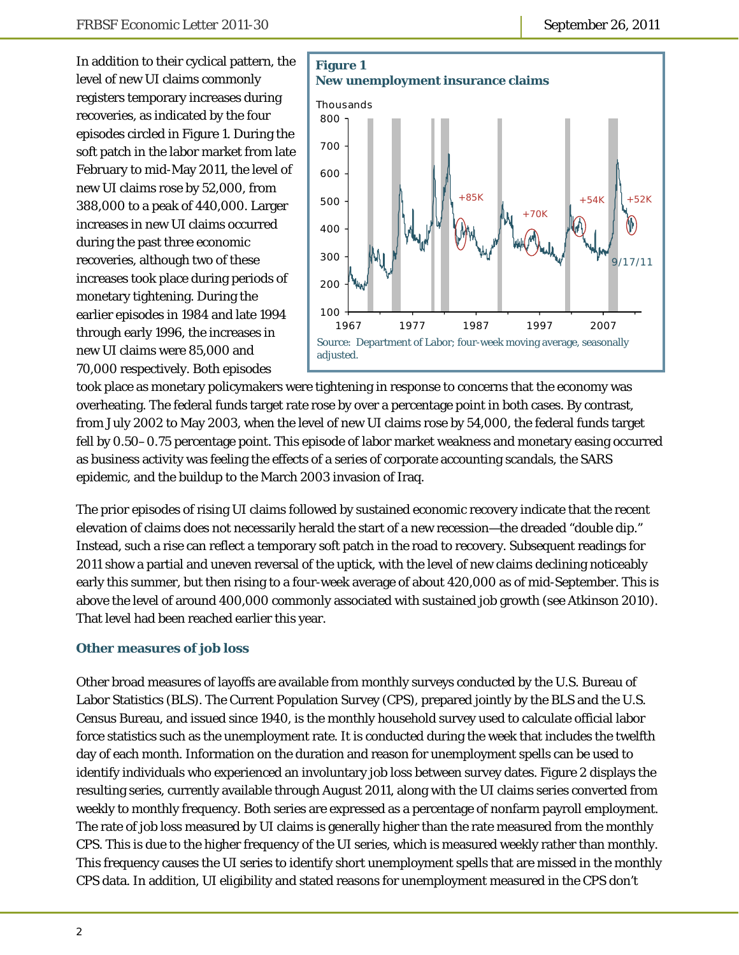In addition to their cyclical pattern, the level of new UI claims commonly registers temporary increases during recoveries, as indicated by the four episodes circled in Figure 1. During the soft patch in the labor market from late February to mid-May 2011, the level of new UI claims rose by 52,000, from 388,000 to a peak of 440,000. Larger increases in new UI claims occurred during the past three economic recoveries, although two of these increases took place during periods of monetary tightening. During the earlier episodes in 1984 and late 1994 through early 1996, the increases in new UI claims were 85,000 and 70,000 respectively. Both episodes



took place as monetary policymakers were tightening in response to concerns that the economy was overheating. The federal funds target rate rose by over a percentage point in both cases. By contrast, from July 2002 to May 2003, when the level of new UI claims rose by 54,000, the federal funds target fell by 0.50–0.75 percentage point. This episode of labor market weakness and monetary easing occurred as business activity was feeling the effects of a series of corporate accounting scandals, the SARS epidemic, and the buildup to the March 2003 invasion of Iraq.

The prior episodes of rising UI claims followed by sustained economic recovery indicate that the recent elevation of claims does not necessarily herald the start of a new recession—the dreaded "double dip." Instead, such a rise can reflect a temporary soft patch in the road to recovery. Subsequent readings for 2011 show a partial and uneven reversal of the uptick, with the level of new claims declining noticeably early this summer, but then rising to a four-week average of about 420,000 as of mid-September. This is above the level of around 400,000 commonly associated with sustained job growth (see Atkinson 2010). That level had been reached earlier this year.

# **Other measures of job loss**

Other broad measures of layoffs are available from monthly surveys conducted by the U.S. Bureau of Labor Statistics (BLS). The Current Population Survey (CPS), prepared jointly by the BLS and the U.S. Census Bureau, and issued since 1940, is the monthly household survey used to calculate official labor force statistics such as the unemployment rate. It is conducted during the week that includes the twelfth day of each month. Information on the duration and reason for unemployment spells can be used to identify individuals who experienced an involuntary job loss between survey dates. Figure 2 displays the resulting series, currently available through August 2011, along with the UI claims series converted from weekly to monthly frequency. Both series are expressed as a percentage of nonfarm payroll employment. The rate of job loss measured by UI claims is generally higher than the rate measured from the monthly CPS. This is due to the higher frequency of the UI series, which is measured weekly rather than monthly. This frequency causes the UI series to identify short unemployment spells that are missed in the monthly CPS data. In addition, UI eligibility and stated reasons for unemployment measured in the CPS don't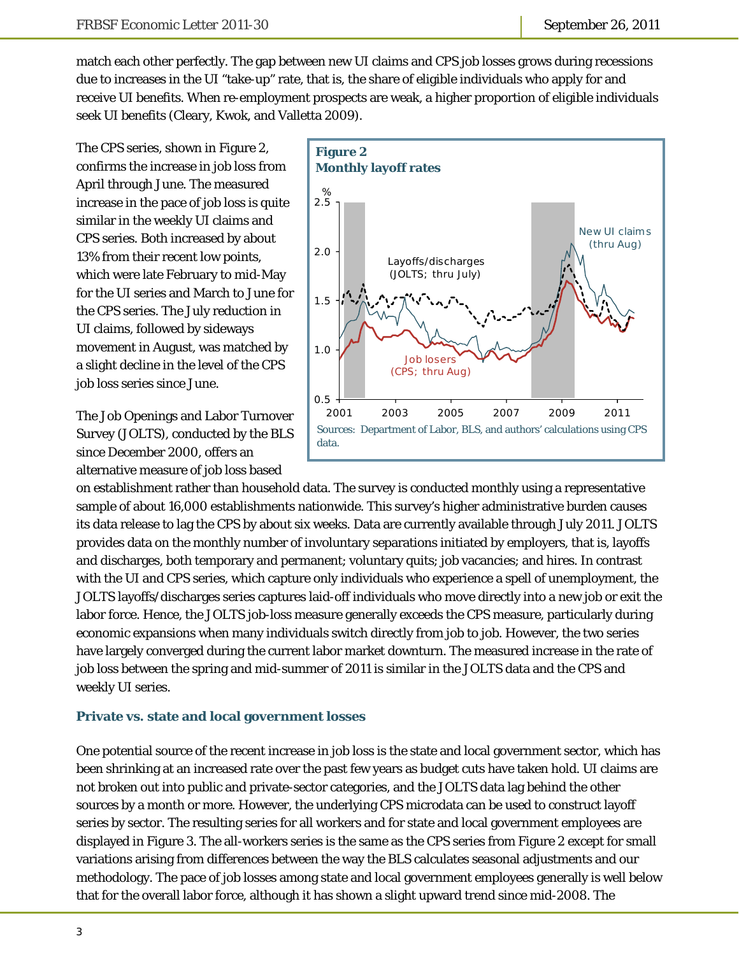match each other perfectly. The gap between new UI claims and CPS job losses grows during recessions due to increases in the UI "take-up" rate, that is, the share of eligible individuals who apply for and receive UI benefits. When re-employment prospects are weak, a higher proportion of eligible individuals seek UI benefits (Cleary, Kwok, and Valletta 2009).

The CPS series, shown in Figure 2, confirms the increase in job loss from April through June. The measured increase in the pace of job loss is quite similar in the weekly UI claims and CPS series. Both increased by about 13% from their recent low points, which were late February to mid-May for the UI series and March to June for the CPS series. The July reduction in UI claims, followed by sideways movement in August, was matched by a slight decline in the level of the CPS job loss series since June.

The Job Openings and Labor Turnover Survey (JOLTS), conducted by the BLS since December 2000, offers an alternative measure of job loss based



on establishment rather than household data. The survey is conducted monthly using a representative sample of about 16,000 establishments nationwide. This survey's higher administrative burden causes its data release to lag the CPS by about six weeks. Data are currently available through July 2011. JOLTS provides data on the monthly number of involuntary separations initiated by employers, that is, layoffs and discharges, both temporary and permanent; voluntary quits; job vacancies; and hires. In contrast with the UI and CPS series, which capture only individuals who experience a spell of unemployment, the JOLTS layoffs/discharges series captures laid-off individuals who move directly into a new job or exit the labor force. Hence, the JOLTS job-loss measure generally exceeds the CPS measure, particularly during economic expansions when many individuals switch directly from job to job. However, the two series have largely converged during the current labor market downturn. The measured increase in the rate of job loss between the spring and mid-summer of 2011 is similar in the JOLTS data and the CPS and weekly UI series.

#### **Private vs. state and local government losses**

One potential source of the recent increase in job loss is the state and local government sector, which has been shrinking at an increased rate over the past few years as budget cuts have taken hold. UI claims are not broken out into public and private-sector categories, and the JOLTS data lag behind the other sources by a month or more. However, the underlying CPS microdata can be used to construct layoff series by sector. The resulting series for all workers and for state and local government employees are displayed in Figure 3. The all-workers series is the same as the CPS series from Figure 2 except for small variations arising from differences between the way the BLS calculates seasonal adjustments and our methodology. The pace of job losses among state and local government employees generally is well below that for the overall labor force, although it has shown a slight upward trend since mid-2008. The